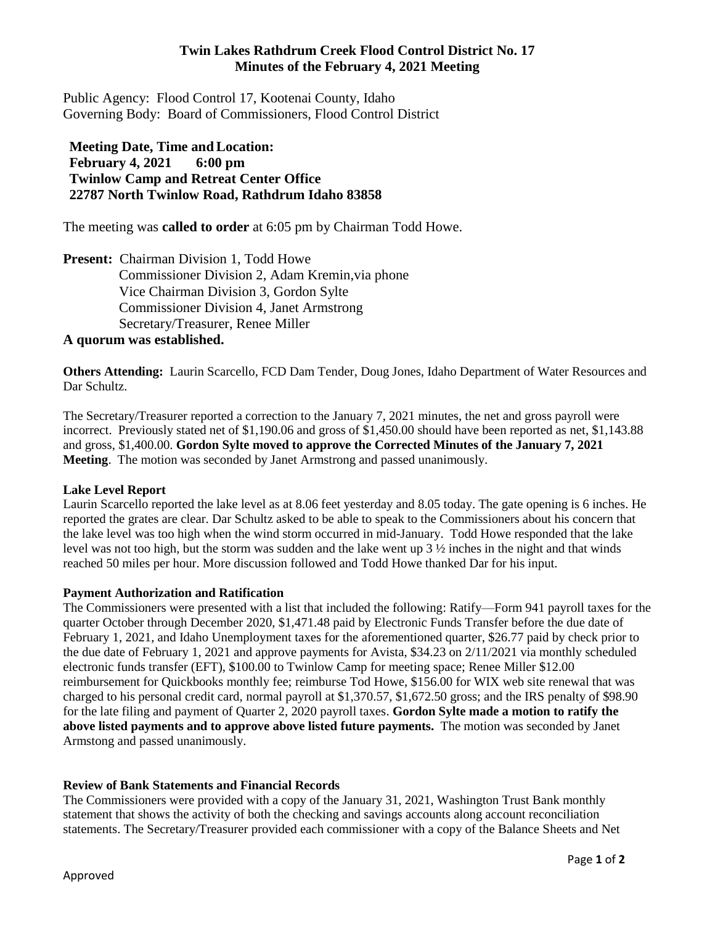# **Twin Lakes Rathdrum Creek Flood Control District No. 17 Minutes of the February 4, 2021 Meeting**

Public Agency: Flood Control 17, Kootenai County, Idaho Governing Body: Board of Commissioners, Flood Control District

# **Meeting Date, Time andLocation: February 4, 2021 6:00 pm Twinlow Camp and Retreat Center Office 22787 North Twinlow Road, Rathdrum Idaho 83858**

The meeting was **called to order** at 6:05 pm by Chairman Todd Howe.

**Present:** Chairman Division 1, Todd Howe Commissioner Division 2, Adam Kremin,via phone Vice Chairman Division 3, Gordon Sylte Commissioner Division 4, Janet Armstrong Secretary/Treasurer, Renee Miller

### **A quorum was established.**

**Others Attending:** Laurin Scarcello, FCD Dam Tender, Doug Jones, Idaho Department of Water Resources and Dar Schultz.

The Secretary/Treasurer reported a correction to the January 7, 2021 minutes, the net and gross payroll were incorrect. Previously stated net of \$1,190.06 and gross of \$1,450.00 should have been reported as net, \$1,143.88 and gross, \$1,400.00. **Gordon Sylte moved to approve the Corrected Minutes of the January 7, 2021 Meeting**. The motion was seconded by Janet Armstrong and passed unanimously.

### **Lake Level Report**

Laurin Scarcello reported the lake level as at 8.06 feet yesterday and 8.05 today. The gate opening is 6 inches. He reported the grates are clear. Dar Schultz asked to be able to speak to the Commissioners about his concern that the lake level was too high when the wind storm occurred in mid-January. Todd Howe responded that the lake level was not too high, but the storm was sudden and the lake went up  $3\frac{1}{2}$  inches in the night and that winds reached 50 miles per hour. More discussion followed and Todd Howe thanked Dar for his input.

### **Payment Authorization and Ratification**

The Commissioners were presented with a list that included the following: Ratify—Form 941 payroll taxes for the quarter October through December 2020, \$1,471.48 paid by Electronic Funds Transfer before the due date of February 1, 2021, and Idaho Unemployment taxes for the aforementioned quarter, \$26.77 paid by check prior to the due date of February 1, 2021 and approve payments for Avista, \$34.23 on 2/11/2021 via monthly scheduled electronic funds transfer (EFT), \$100.00 to Twinlow Camp for meeting space; Renee Miller \$12.00 reimbursement for Quickbooks monthly fee; reimburse Tod Howe, \$156.00 for WIX web site renewal that was charged to his personal credit card, normal payroll at \$1,370.57, \$1,672.50 gross; and the IRS penalty of \$98.90 for the late filing and payment of Quarter 2, 2020 payroll taxes. **Gordon Sylte made a motion to ratify the above listed payments and to approve above listed future payments.** The motion was seconded by Janet Armstong and passed unanimously.

### **Review of Bank Statements and Financial Records**

The Commissioners were provided with a copy of the January 31, 2021, Washington Trust Bank monthly statement that shows the activity of both the checking and savings accounts along account reconciliation statements. The Secretary/Treasurer provided each commissioner with a copy of the Balance Sheets and Net